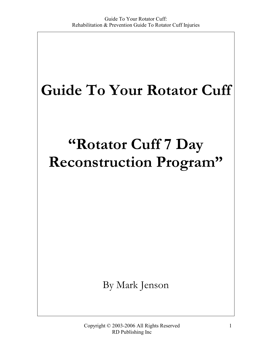# Guide To Your Rotator Cuff

# "Rotator Cuff 7 Day Reconstruction Program"

By Mark Jenson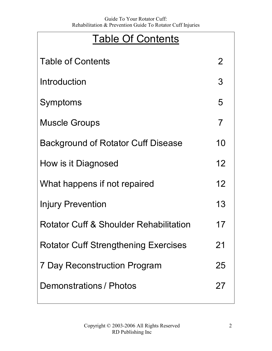### Table Of Contents

| <b>Table of Contents</b>                    | 2  |
|---------------------------------------------|----|
| Introduction                                | 3  |
| Symptoms                                    | 5  |
| <b>Muscle Groups</b>                        | 7  |
| <b>Background of Rotator Cuff Disease</b>   | 10 |
| How is it Diagnosed                         | 12 |
| What happens if not repaired                | 12 |
| <b>Injury Prevention</b>                    | 13 |
| Rotator Cuff & Shoulder Rehabilitation      | 17 |
| <b>Rotator Cuff Strengthening Exercises</b> | 21 |
| <b>7 Day Reconstruction Program</b>         | 25 |
| Demonstrations / Photos                     | 27 |
|                                             |    |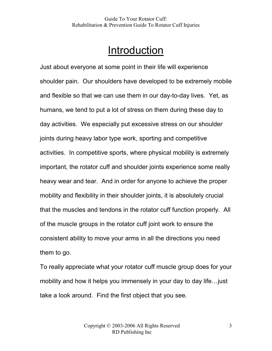### Introduction

Just about everyone at some point in their life will experience shoulder pain. Our shoulders have developed to be extremely mobile and flexible so that we can use them in our day-to-day lives. Yet, as humans, we tend to put a lot of stress on them during these day to day activities. We especially put excessive stress on our shoulder joints during heavy labor type work, sporting and competitive activities. In competitive sports, where physical mobility is extremely important, the rotator cuff and shoulder joints experience some really heavy wear and tear. And in order for anyone to achieve the proper mobility and flexibility in their shoulder joints, it is absolutely crucial that the muscles and tendons in the rotator cuff function properly. All of the muscle groups in the rotator cuff joint work to ensure the consistent ability to move your arms in all the directions you need them to go.

To really appreciate what your rotator cuff muscle group does for your mobility and how it helps you immensely in your day to day life…just take a look around. Find the first object that you see.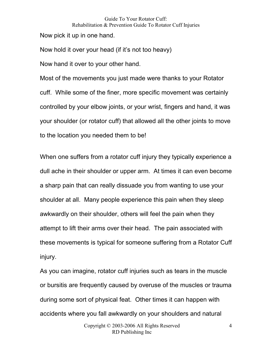Now pick it up in one hand.

Now hold it over your head (if it's not too heavy)

Now hand it over to your other hand.

Most of the movements you just made were thanks to your Rotator cuff. While some of the finer, more specific movement was certainly controlled by your elbow joints, or your wrist, fingers and hand, it was your shoulder (or rotator cuff) that allowed all the other joints to move to the location you needed them to be!

When one suffers from a rotator cuff injury they typically experience a dull ache in their shoulder or upper arm. At times it can even become a sharp pain that can really dissuade you from wanting to use your shoulder at all. Many people experience this pain when they sleep awkwardly on their shoulder, others will feel the pain when they attempt to lift their arms over their head. The pain associated with these movements is typical for someone suffering from a Rotator Cuff injury.

As you can imagine, rotator cuff injuries such as tears in the muscle or bursitis are frequently caused by overuse of the muscles or trauma during some sort of physical feat. Other times it can happen with accidents where you fall awkwardly on your shoulders and natural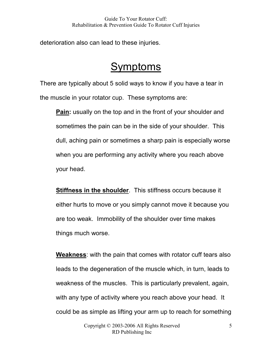deterioration also can lead to these injuries.

### Symptoms

There are typically about 5 solid ways to know if you have a tear in the muscle in your rotator cup. These symptoms are:

**Pain:** usually on the top and in the front of your shoulder and sometimes the pain can be in the side of your shoulder. This dull, aching pain or sometimes a sharp pain is especially worse when you are performing any activity where you reach above your head.

Stiffness in the shoulder. This stiffness occurs because it either hurts to move or you simply cannot move it because you are too weak. Immobility of the shoulder over time makes things much worse.

Weakness: with the pain that comes with rotator cuff tears also leads to the degeneration of the muscle which, in turn, leads to weakness of the muscles. This is particularly prevalent, again, with any type of activity where you reach above your head. It could be as simple as lifting your arm up to reach for something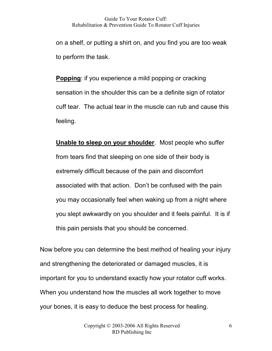on a shelf, or putting a shirt on, and you find you are too weak to perform the task.

Popping: if you experience a mild popping or cracking sensation in the shoulder this can be a definite sign of rotator cuff tear. The actual tear in the muscle can rub and cause this feeling.

Unable to sleep on your shoulder. Most people who suffer from tears find that sleeping on one side of their body is extremely difficult because of the pain and discomfort associated with that action. Don't be confused with the pain you may occasionally feel when waking up from a night where you slept awkwardly on you shoulder and it feels painful. It is if this pain persists that you should be concerned.

Now before you can determine the best method of healing your injury and strengthening the deteriorated or damaged muscles, it is important for you to understand exactly how your rotator cuff works. When you understand how the muscles all work together to move your bones, it is easy to deduce the best process for healing.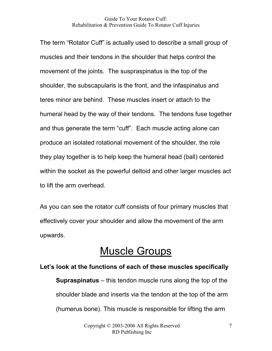The term "Rotator Cuff" is actually used to describe a small group of muscles and their tendons in the shoulder that helps control the movement of the joints. The suspraspinatus is the top of the shoulder, the subscapularis is the front, and the infaspinatus and teres minor are behind. These muscles insert or attach to the humeral head by the way of their tendons. The tendons fuse together and thus generate the term "cuff". Each muscle acting alone can produce an isolated rotational movement of the shoulder, the role they play together is to help keep the humeral head (ball) centered within the socket as the powerful deltoid and other larger muscles act to lift the arm overhead.

As you can see the rotator cuff consists of four primary muscles that effectively cover your shoulder and allow the movement of the arm upwards.

### Muscle Groups

#### Let's look at the functions of each of these muscles specifically

Supraspinatus – this tendon muscle runs along the top of the shoulder blade and inserts via the tendon at the top of the arm (humerus bone). This muscle is responsible for lifting the arm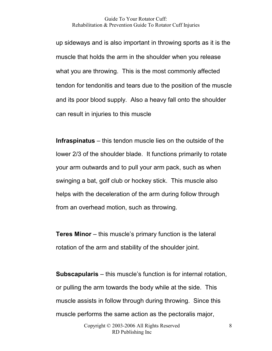up sideways and is also important in throwing sports as it is the muscle that holds the arm in the shoulder when you release what you are throwing. This is the most commonly affected tendon for tendonitis and tears due to the position of the muscle and its poor blood supply. Also a heavy fall onto the shoulder can result in injuries to this muscle

Infraspinatus – this tendon muscle lies on the outside of the lower 2/3 of the shoulder blade. It functions primarily to rotate your arm outwards and to pull your arm pack, such as when swinging a bat, golf club or hockey stick. This muscle also helps with the deceleration of the arm during follow through from an overhead motion, such as throwing.

Teres Minor – this muscle's primary function is the lateral rotation of the arm and stability of the shoulder joint.

Subscapularis – this muscle's function is for internal rotation, or pulling the arm towards the body while at the side. This muscle assists in follow through during throwing. Since this muscle performs the same action as the pectoralis major,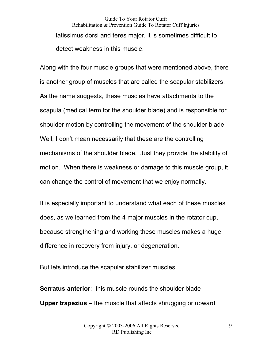Guide To Your Rotator Cuff: Rehabilitation & Prevention Guide To Rotator Cuff Injuries latissimus dorsi and teres major, it is sometimes difficult to detect weakness in this muscle.

Along with the four muscle groups that were mentioned above, there is another group of muscles that are called the scapular stabilizers. As the name suggests, these muscles have attachments to the scapula (medical term for the shoulder blade) and is responsible for shoulder motion by controlling the movement of the shoulder blade. Well, I don't mean necessarily that these are the controlling mechanisms of the shoulder blade. Just they provide the stability of motion. When there is weakness or damage to this muscle group, it can change the control of movement that we enjoy normally.

It is especially important to understand what each of these muscles does, as we learned from the 4 major muscles in the rotator cup, because strengthening and working these muscles makes a huge difference in recovery from injury, or degeneration.

But lets introduce the scapular stabilizer muscles:

Serratus anterior: this muscle rounds the shoulder blade Upper trapezius – the muscle that affects shrugging or upward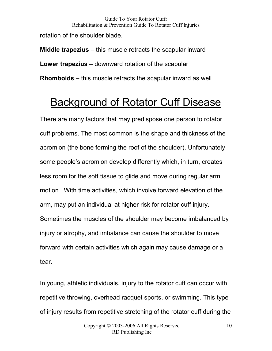Guide To Your Rotator Cuff: Rehabilitation & Prevention Guide To Rotator Cuff Injuries rotation of the shoulder blade.

Middle trapezius – this muscle retracts the scapular inward Lower trapezius – downward rotation of the scapular Rhomboids – this muscle retracts the scapular inward as well

# Background of Rotator Cuff Disease

There are many factors that may predispose one person to rotator cuff problems. The most common is the shape and thickness of the acromion (the bone forming the roof of the shoulder). Unfortunately some people's acromion develop differently which, in turn, creates less room for the soft tissue to glide and move during regular arm motion. With time activities, which involve forward elevation of the arm, may put an individual at higher risk for rotator cuff injury. Sometimes the muscles of the shoulder may become imbalanced by injury or atrophy, and imbalance can cause the shoulder to move forward with certain activities which again may cause damage or a tear.

In young, athletic individuals, injury to the rotator cuff can occur with repetitive throwing, overhead racquet sports, or swimming. This type of injury results from repetitive stretching of the rotator cuff during the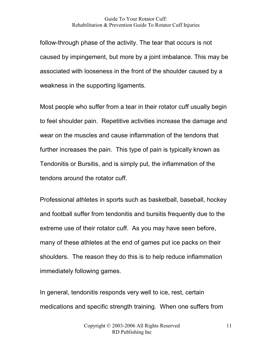follow-through phase of the activity. The tear that occurs is not caused by impingement, but more by a joint imbalance. This may be associated with looseness in the front of the shoulder caused by a weakness in the supporting ligaments.

Most people who suffer from a tear in their rotator cuff usually begin to feel shoulder pain. Repetitive activities increase the damage and wear on the muscles and cause inflammation of the tendons that further increases the pain. This type of pain is typically known as Tendonitis or Bursitis, and is simply put, the inflammation of the tendons around the rotator cuff.

Professional athletes in sports such as basketball, baseball, hockey and football suffer from tendonitis and bursitis frequently due to the extreme use of their rotator cuff. As you may have seen before, many of these athletes at the end of games put ice packs on their shoulders. The reason they do this is to help reduce inflammation immediately following games.

In general, tendonitis responds very well to ice, rest, certain medications and specific strength training. When one suffers from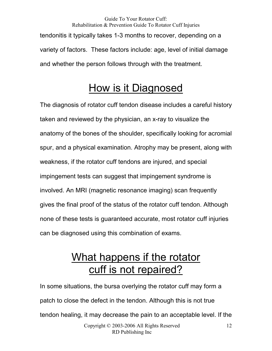Guide To Your Rotator Cuff: Rehabilitation & Prevention Guide To Rotator Cuff Injuries tendonitis it typically takes 1-3 months to recover, depending on a variety of factors. These factors include: age, level of initial damage and whether the person follows through with the treatment.

### How is it Diagnosed

The diagnosis of rotator cuff tendon disease includes a careful history taken and reviewed by the physician, an x-ray to visualize the anatomy of the bones of the shoulder, specifically looking for acromial spur, and a physical examination. Atrophy may be present, along with weakness, if the rotator cuff tendons are injured, and special impingement tests can suggest that impingement syndrome is involved. An MRI (magnetic resonance imaging) scan frequently gives the final proof of the status of the rotator cuff tendon. Although none of these tests is guaranteed accurate, most rotator cuff injuries can be diagnosed using this combination of exams.

# What happens if the rotator cuff is not repaired?

In some situations, the bursa overlying the rotator cuff may form a patch to close the defect in the tendon. Although this is not true tendon healing, it may decrease the pain to an acceptable level. If the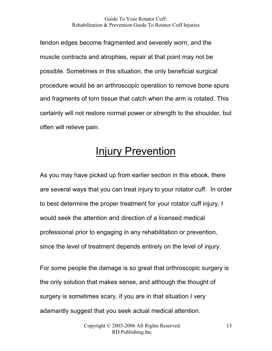tendon edges become fragmented and severely worn, and the muscle contracts and atrophies, repair at that point may not be possible. Sometimes in this situation, the only beneficial surgical procedure would be an arthroscopic operation to remove bone spurs and fragments of torn tissue that catch when the arm is rotated. This certainly will not restore normal power or strength to the shoulder, but often will relieve pain.

### **Injury Prevention**

As you may have picked up from earlier section in this ebook, there are several ways that you can treat injury to your rotator cuff. In order to best determine the proper treatment for your rotator cuff injury, I would seek the attention and direction of a licensed medical professional prior to engaging in any rehabilitation or prevention, since the level of treatment depends entirely on the level of injury.

For some people the damage is so great that orthroscopic surgery is the only solution that makes sense, and although the thought of surgery is sometimes scary, if you are in that situation I very adamantly suggest that you seek actual medical attention.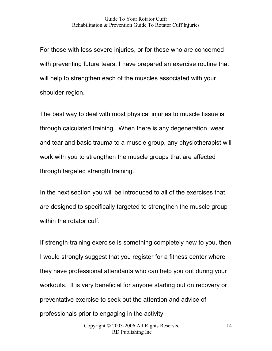For those with less severe injuries, or for those who are concerned with preventing future tears, I have prepared an exercise routine that will help to strengthen each of the muscles associated with your shoulder region.

The best way to deal with most physical injuries to muscle tissue is through calculated training. When there is any degeneration, wear and tear and basic trauma to a muscle group, any physiotherapist will work with you to strengthen the muscle groups that are affected through targeted strength training.

In the next section you will be introduced to all of the exercises that are designed to specifically targeted to strengthen the muscle group within the rotator cuff.

If strength-training exercise is something completely new to you, then I would strongly suggest that you register for a fitness center where they have professional attendants who can help you out during your workouts. It is very beneficial for anyone starting out on recovery or preventative exercise to seek out the attention and advice of professionals prior to engaging in the activity.

14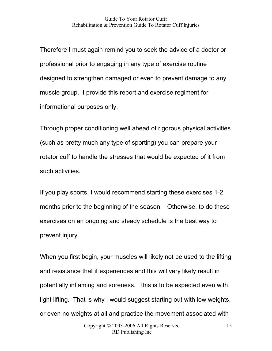Therefore I must again remind you to seek the advice of a doctor or professional prior to engaging in any type of exercise routine designed to strengthen damaged or even to prevent damage to any muscle group. I provide this report and exercise regiment for informational purposes only.

Through proper conditioning well ahead of rigorous physical activities (such as pretty much any type of sporting) you can prepare your rotator cuff to handle the stresses that would be expected of it from such activities.

If you play sports, I would recommend starting these exercises 1-2 months prior to the beginning of the season. Otherwise, to do these exercises on an ongoing and steady schedule is the best way to prevent injury.

When you first begin, your muscles will likely not be used to the lifting and resistance that it experiences and this will very likely result in potentially inflaming and soreness. This is to be expected even with light lifting. That is why I would suggest starting out with low weights, or even no weights at all and practice the movement associated with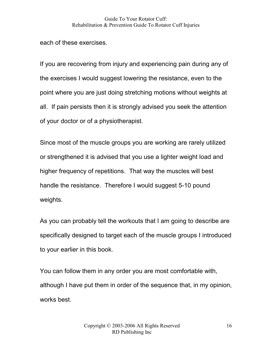each of these exercises.

If you are recovering from injury and experiencing pain during any of the exercises I would suggest lowering the resistance, even to the point where you are just doing stretching motions without weights at all. If pain persists then it is strongly advised you seek the attention of your doctor or of a physiotherapist.

Since most of the muscle groups you are working are rarely utilized or strengthened it is advised that you use a lighter weight load and higher frequency of repetitions. That way the muscles will best handle the resistance. Therefore I would suggest 5-10 pound weights.

As you can probably tell the workouts that I am going to describe are specifically designed to target each of the muscle groups I introduced to your earlier in this book.

You can follow them in any order you are most comfortable with, although I have put them in order of the sequence that, in my opinion, works best.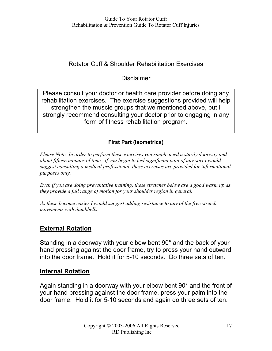#### Rotator Cuff & Shoulder Rehabilitation Exercises

#### **Disclaimer**

Please consult your doctor or health care provider before doing any rehabilitation exercises. The exercise suggestions provided will help strengthen the muscle groups that we mentioned above, but I strongly recommend consulting your doctor prior to engaging in any form of fitness rehabilitation program.

#### First Part (Isometrics)

Please Note: In order to perform these exercises you simple need a sturdy doorway and about fifteen minutes of time. If you begin to feel significant pain of any sort I would suggest consulting a medical professional, these exercises are provided for informational purposes only.

Even if you are doing preventative training, these stretches below are a good warm up as they provide a full range of motion for your shoulder region in general.

As these become easier I would suggest adding resistance to any of the free stretch movements with dumbbells.

#### External Rotation

Standing in a doorway with your elbow bent 90° and the back of your hand pressing against the door frame, try to press your hand outward into the door frame. Hold it for 5-10 seconds. Do three sets of ten.

#### Internal Rotation

Again standing in a doorway with your elbow bent 90° and the front of your hand pressing against the door frame, press your palm into the door frame. Hold it for 5-10 seconds and again do three sets of ten.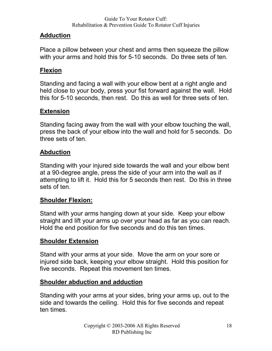#### Adduction

Place a pillow between your chest and arms then squeeze the pillow with your arms and hold this for 5-10 seconds. Do three sets of ten.

#### Flexion

Standing and facing a wall with your elbow bent at a right angle and held close to your body, press your fist forward against the wall. Hold this for 5-10 seconds, then rest. Do this as well for three sets of ten.

#### **Extension**

Standing facing away from the wall with your elbow touching the wall, press the back of your elbow into the wall and hold for 5 seconds. Do three sets of ten.

#### Abduction

Standing with your injured side towards the wall and your elbow bent at a 90-degree angle, press the side of your arm into the wall as if attempting to lift it. Hold this for 5 seconds then rest. Do this in three sets of ten.

#### Shoulder Flexion:

Stand with your arms hanging down at your side. Keep your elbow straight and lift your arms up over your head as far as you can reach. Hold the end position for five seconds and do this ten times.

#### **Shoulder Extension**

Stand with your arms at your side. Move the arm on your sore or injured side back, keeping your elbow straight. Hold this position for five seconds. Repeat this movement ten times.

#### Shoulder abduction and adduction

Standing with your arms at your sides, bring your arms up, out to the side and towards the ceiling. Hold this for five seconds and repeat ten times.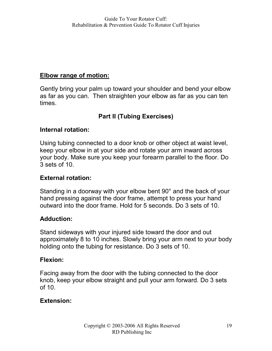#### Elbow range of motion:

Gently bring your palm up toward your shoulder and bend your elbow as far as you can. Then straighten your elbow as far as you can ten times.

#### Part II (Tubing Exercises)

#### Internal rotation:

Using tubing connected to a door knob or other object at waist level, keep your elbow in at your side and rotate your arm inward across your body. Make sure you keep your forearm parallel to the floor. Do 3 sets of 10.

#### External rotation:

Standing in a doorway with your elbow bent 90° and the back of your hand pressing against the door frame, attempt to press your hand outward into the door frame. Hold for 5 seconds. Do 3 sets of 10.

#### Adduction:

Stand sideways with your injured side toward the door and out approximately 8 to 10 inches. Slowly bring your arm next to your body holding onto the tubing for resistance. Do 3 sets of 10.

#### Flexion:

Facing away from the door with the tubing connected to the door knob, keep your elbow straight and pull your arm forward. Do 3 sets of 10.

#### Extension: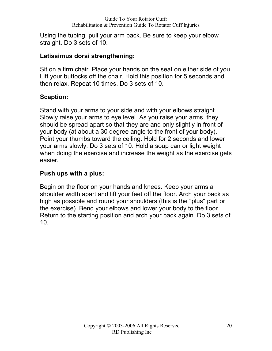Using the tubing, pull your arm back. Be sure to keep your elbow straight. Do 3 sets of 10.

#### Latissimus dorsi strengthening:

Sit on a firm chair. Place your hands on the seat on either side of you. Lift your buttocks off the chair. Hold this position for 5 seconds and then relax. Repeat 10 times. Do 3 sets of 10.

#### Scaption:

Stand with your arms to your side and with your elbows straight. Slowly raise your arms to eye level. As you raise your arms, they should be spread apart so that they are and only slightly in front of your body (at about a 30 degree angle to the front of your body). Point your thumbs toward the ceiling. Hold for 2 seconds and lower your arms slowly. Do 3 sets of 10. Hold a soup can or light weight when doing the exercise and increase the weight as the exercise gets easier.

#### Push ups with a plus:

Begin on the floor on your hands and knees. Keep your arms a shoulder width apart and lift your feet off the floor. Arch your back as high as possible and round your shoulders (this is the "plus" part or the exercise). Bend your elbows and lower your body to the floor. Return to the starting position and arch your back again. Do 3 sets of 10.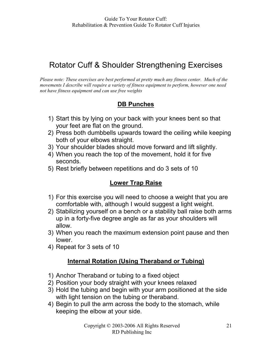### Rotator Cuff & Shoulder Strengthening Exercises

Please note: These exercises are best performed at pretty much any fitness center. Much of the movements I describe will require a variety of fitness equipment to perform, however one need not have fitness equipment and can use free weights

#### DB Punches

- 1) Start this by lying on your back with your knees bent so that your feet are flat on the ground.
- 2) Press both dumbbells upwards toward the ceiling while keeping both of your elbows straight.
- 3) Your shoulder blades should move forward and lift slightly.
- 4) When you reach the top of the movement, hold it for five seconds.
- 5) Rest briefly between repetitions and do 3 sets of 10

#### Lower Trap Raise

- 1) For this exercise you will need to choose a weight that you are comfortable with, although I would suggest a light weight.
- 2) Stabilizing yourself on a bench or a stability ball raise both arms up in a forty-five degree angle as far as your shoulders will allow.
- 3) When you reach the maximum extension point pause and then lower.
- 4) Repeat for 3 sets of 10

#### Internal Rotation (Using Theraband or Tubing)

- 1) Anchor Theraband or tubing to a fixed object
- 2) Position your body straight with your knees relaxed
- 3) Hold the tubing and begin with your arm positioned at the side with light tension on the tubing or theraband.
- 4) Begin to pull the arm across the body to the stomach, while keeping the elbow at your side.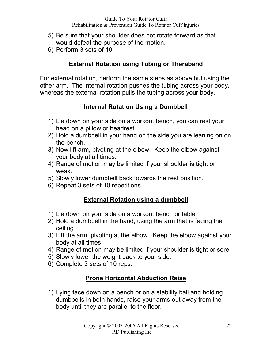- 5) Be sure that your shoulder does not rotate forward as that would defeat the purpose of the motion.
- 6) Perform 3 sets of 10.

#### External Rotation using Tubing or Theraband

For external rotation, perform the same steps as above but using the other arm. The internal rotation pushes the tubing across your body, whereas the external rotation pulls the tubing across your body.

#### Internal Rotation Using a Dumbbell

- 1) Lie down on your side on a workout bench, you can rest your head on a pillow or headrest.
- 2) Hold a dumbbell in your hand on the side you are leaning on on the bench.
- 3) Now lift arm, pivoting at the elbow. Keep the elbow against your body at all times.
- 4) Range of motion may be limited if your shoulder is tight or weak.
- 5) Slowly lower dumbbell back towards the rest position.
- 6) Repeat 3 sets of 10 repetitions

#### External Rotation using a dumbbell

- 1) Lie down on your side on a workout bench or table.
- 2) Hold a dumbbell in the hand, using the arm that is facing the ceiling.
- 3) Lift the arm, pivoting at the elbow. Keep the elbow against your body at all times.
- 4) Range of motion may be limited if your shoulder is tight or sore.
- 5) Slowly lower the weight back to your side.
- 6) Complete 3 sets of 10 reps.

#### Prone Horizontal Abduction Raise

1) Lying face down on a bench or on a stability ball and holding dumbbells in both hands, raise your arms out away from the body until they are parallel to the floor.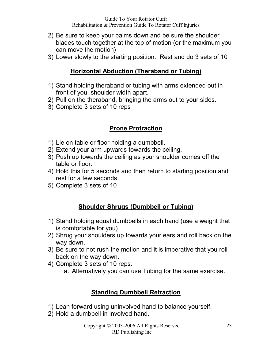- 2) Be sure to keep your palms down and be sure the shoulder blades touch together at the top of motion (or the maximum you can move the motion)
- 3) Lower slowly to the starting position. Rest and do 3 sets of 10

#### Horizontal Abduction (Theraband or Tubing)

- 1) Stand holding theraband or tubing with arms extended out in front of you, shoulder width apart.
- 2) Pull on the theraband, bringing the arms out to your sides.
- 3) Complete 3 sets of 10 reps

#### Prone Protraction

- 1) Lie on table or floor holding a dumbbell.
- 2) Extend your arm upwards towards the ceiling.
- 3) Push up towards the ceiling as your shoulder comes off the table or floor.
- 4) Hold this for 5 seconds and then return to starting position and rest for a few seconds.
- 5) Complete 3 sets of 10

#### Shoulder Shrugs (Dumbbell or Tubing)

- 1) Stand holding equal dumbbells in each hand (use a weight that is comfortable for you)
- 2) Shrug your shoulders up towards your ears and roll back on the way down.
- 3) Be sure to not rush the motion and it is imperative that you roll back on the way down.
- 4) Complete 3 sets of 10 reps.
	- a. Alternatively you can use Tubing for the same exercise.

#### Standing Dumbbell Retraction

- 1) Lean forward using uninvolved hand to balance yourself.
- 2) Hold a dumbbell in involved hand.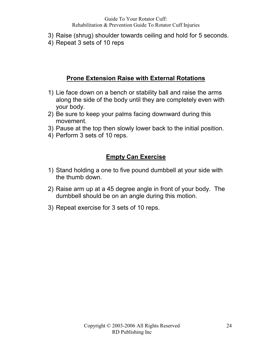- 3) Raise (shrug) shoulder towards ceiling and hold for 5 seconds.
- 4) Repeat 3 sets of 10 reps

#### Prone Extension Raise with External Rotations

- 1) Lie face down on a bench or stability ball and raise the arms along the side of the body until they are completely even with your body.
- 2) Be sure to keep your palms facing downward during this movement.
- 3) Pause at the top then slowly lower back to the initial position.
- 4) Perform 3 sets of 10 reps.

#### Empty Can Exercise

- 1) Stand holding a one to five pound dumbbell at your side with the thumb down.
- 2) Raise arm up at a 45 degree angle in front of your body. The dumbbell should be on an angle during this motion.
- 3) Repeat exercise for 3 sets of 10 reps.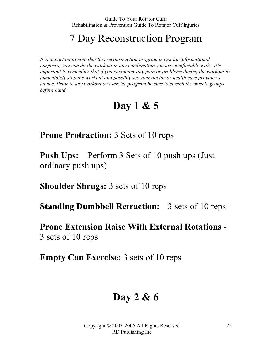### 7 Day Reconstruction Program

It is important to note that this reconstruction program is just for informational purposes; you can do the workout in any combination you are comfortable with. It's important to remember that if you encounter any pain or problems during the workout to immediately stop the workout and possibly see your doctor or health care provider's advice. Prior to any workout or exercise program be sure to stretch the muscle groups before hand.

### Day 1 & 5

Prone Protraction: 3 Sets of 10 reps

Push Ups: Perform 3 Sets of 10 push ups (Just ordinary push ups)

Shoulder Shrugs: 3 sets of 10 reps

Standing Dumbbell Retraction: 3 sets of 10 reps

Prone Extension Raise With External Rotations - 3 sets of 10 reps

Empty Can Exercise: 3 sets of 10 reps

### Day 2 & 6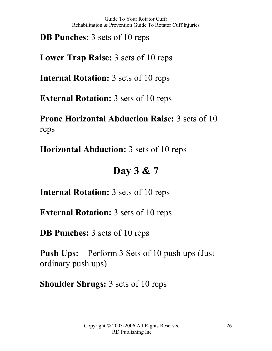DB Punches: 3 sets of 10 reps

Lower Trap Raise: 3 sets of 10 reps

Internal Rotation: 3 sets of 10 reps

External Rotation: 3 sets of 10 reps

Prone Horizontal Abduction Raise: 3 sets of 10 reps

Horizontal Abduction: 3 sets of 10 reps

### Day 3 & 7

Internal Rotation: 3 sets of 10 reps

External Rotation: 3 sets of 10 reps

DB Punches: 3 sets of 10 reps

Push Ups: Perform 3 Sets of 10 push ups (Just ordinary push ups)

Shoulder Shrugs: 3 sets of 10 reps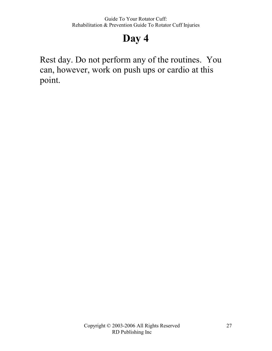# Day 4

Rest day. Do not perform any of the routines. You can, however, work on push ups or cardio at this point.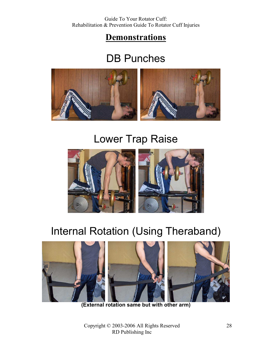### **Demonstrations**

### DB Punches



### Lower Trap Raise



# Internal Rotation (Using Theraband)



(External rotation same but with other arm)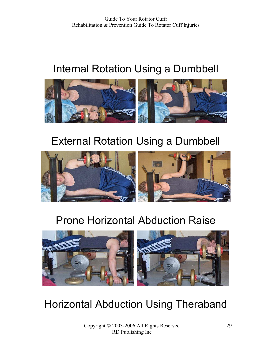# Internal Rotation Using a Dumbbell



# External Rotation Using a Dumbbell



# Prone Horizontal Abduction Raise



# Horizontal Abduction Using Theraband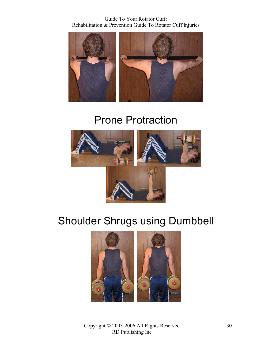Guide To Your Rotator Cuff: Rehabilitation & Prevention Guide To Rotator Cuff Injuries



### Prone Protraction



## Shoulder Shrugs using Dumbbell